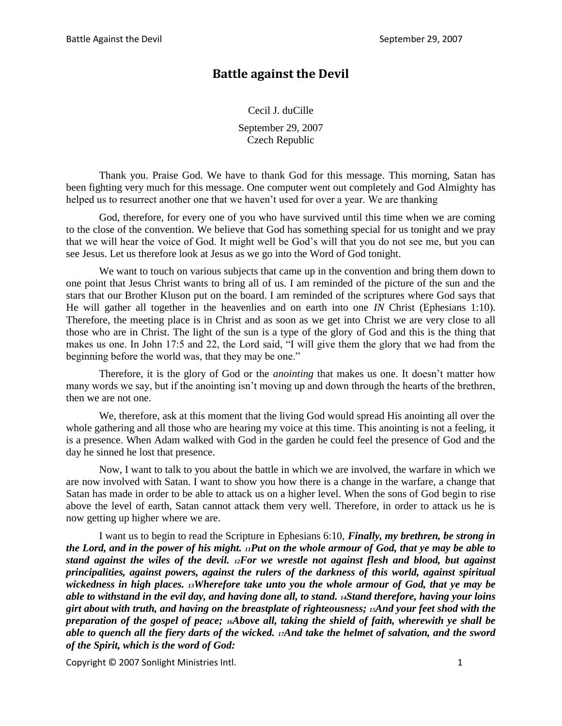# **Battle against the Devil**

Cecil J. duCille September 29, 2007

Czech Republic

Thank you. Praise God. We have to thank God for this message. This morning, Satan has been fighting very much for this message. One computer went out completely and God Almighty has helped us to resurrect another one that we haven't used for over a year. We are thanking

God, therefore, for every one of you who have survived until this time when we are coming to the close of the convention. We believe that God has something special for us tonight and we pray that we will hear the voice of God. It might well be God's will that you do not see me, but you can see Jesus. Let us therefore look at Jesus as we go into the Word of God tonight.

We want to touch on various subjects that came up in the convention and bring them down to one point that Jesus Christ wants to bring all of us. I am reminded of the picture of the sun and the stars that our Brother Kluson put on the board. I am reminded of the scriptures where God says that He will gather all together in the heavenlies and on earth into one *IN* Christ (Ephesians 1:10). Therefore, the meeting place is in Christ and as soon as we get into Christ we are very close to all those who are in Christ. The light of the sun is a type of the glory of God and this is the thing that makes us one. In John 17:5 and 22, the Lord said, "I will give them the glory that we had from the beginning before the world was, that they may be one."

Therefore, it is the glory of God or the *anointing* that makes us one. It doesn't matter how many words we say, but if the anointing isn't moving up and down through the hearts of the brethren, then we are not one.

We, therefore, ask at this moment that the living God would spread His anointing all over the whole gathering and all those who are hearing my voice at this time. This anointing is not a feeling, it is a presence. When Adam walked with God in the garden he could feel the presence of God and the day he sinned he lost that presence.

Now, I want to talk to you about the battle in which we are involved, the warfare in which we are now involved with Satan. I want to show you how there is a change in the warfare, a change that Satan has made in order to be able to attack us on a higher level. When the sons of God begin to rise above the level of earth, Satan cannot attack them very well. Therefore, in order to attack us he is now getting up higher where we are.

I want us to begin to read the Scripture in Ephesians 6:10, *Finally, my brethren, be strong in the Lord, and in the power of his might. 11Put on the whole armour of God, that ye may be able to stand against the wiles of the devil. 12For we wrestle not against flesh and blood, but against principalities, against powers, against the rulers of the darkness of this world, against spiritual wickedness in high places. 13Wherefore take unto you the whole armour of God, that ye may be able to withstand in the evil day, and having done all, to stand. 14Stand therefore, having your loins girt about with truth, and having on the breastplate of righteousness; 15And your feet shod with the preparation of the gospel of peace; 16Above all, taking the shield of faith, wherewith ye shall be able to quench all the fiery darts of the wicked. 17And take the helmet of salvation, and the sword of the Spirit, which is the word of God:*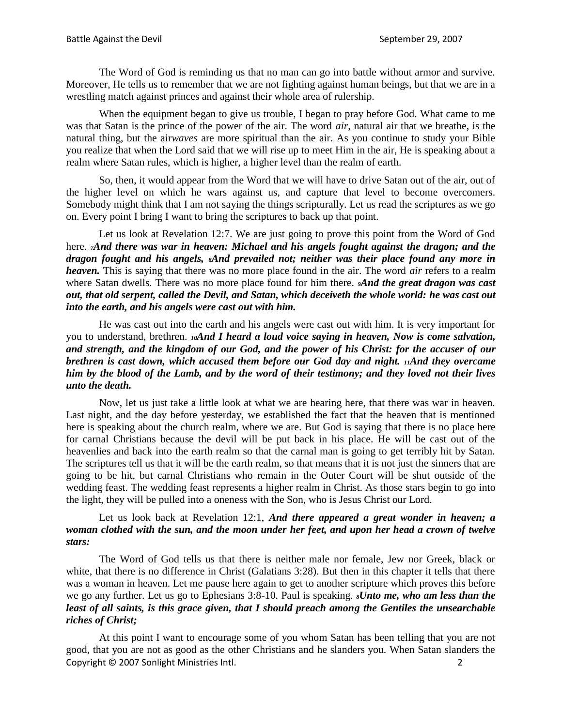The Word of God is reminding us that no man can go into battle without armor and survive. Moreover, He tells us to remember that we are not fighting against human beings, but that we are in a wrestling match against princes and against their whole area of rulership.

When the equipment began to give us trouble, I began to pray before God. What came to me was that Satan is the prince of the power of the air. The word *air*, natural air that we breathe, is the natural thing, but the air*waves* are more spiritual than the air. As you continue to study your Bible you realize that when the Lord said that we will rise up to meet Him in the air, He is speaking about a realm where Satan rules, which is higher, a higher level than the realm of earth.

So, then, it would appear from the Word that we will have to drive Satan out of the air, out of the higher level on which he wars against us, and capture that level to become overcomers. Somebody might think that I am not saying the things scripturally. Let us read the scriptures as we go on. Every point I bring I want to bring the scriptures to back up that point.

Let us look at Revelation 12:7. We are just going to prove this point from the Word of God here. *7And there was war in heaven: Michael and his angels fought against the dragon; and the dragon fought and his angels, 8And prevailed not; neither was their place found any more in heaven.* This is saying that there was no more place found in the air. The word *air* refers to a realm where Satan dwells. There was no more place found for him there. **And the great dragon was cast** *out, that old serpent, called the Devil, and Satan, which deceiveth the whole world: he was cast out into the earth, and his angels were cast out with him.*

He was cast out into the earth and his angels were cast out with him. It is very important for you to understand, brethren. *10And I heard a loud voice saying in heaven, Now is come salvation, and strength, and the kingdom of our God, and the power of his Christ: for the accuser of our brethren is cast down, which accused them before our God day and night. 11And they overcame him by the blood of the Lamb, and by the word of their testimony; and they loved not their lives unto the death.*

Now, let us just take a little look at what we are hearing here, that there was war in heaven. Last night, and the day before yesterday, we established the fact that the heaven that is mentioned here is speaking about the church realm, where we are. But God is saying that there is no place here for carnal Christians because the devil will be put back in his place. He will be cast out of the heavenlies and back into the earth realm so that the carnal man is going to get terribly hit by Satan. The scriptures tell us that it will be the earth realm, so that means that it is not just the sinners that are going to be hit, but carnal Christians who remain in the Outer Court will be shut outside of the wedding feast. The wedding feast represents a higher realm in Christ. As those stars begin to go into the light, they will be pulled into a oneness with the Son, who is Jesus Christ our Lord.

Let us look back at Revelation 12:1, *And there appeared a great wonder in heaven; a woman clothed with the sun, and the moon under her feet, and upon her head a crown of twelve stars:*

The Word of God tells us that there is neither male nor female, Jew nor Greek, black or white, that there is no difference in Christ (Galatians 3:28). But then in this chapter it tells that there was a woman in heaven. Let me pause here again to get to another scripture which proves this before we go any further. Let us go to Ephesians 3:8-10. Paul is speaking. *8Unto me, who am less than the least of all saints, is this grace given, that I should preach among the Gentiles the unsearchable riches of Christ;*

Copyright © 2007 Sonlight Ministries Intl. 2 At this point I want to encourage some of you whom Satan has been telling that you are not good, that you are not as good as the other Christians and he slanders you. When Satan slanders the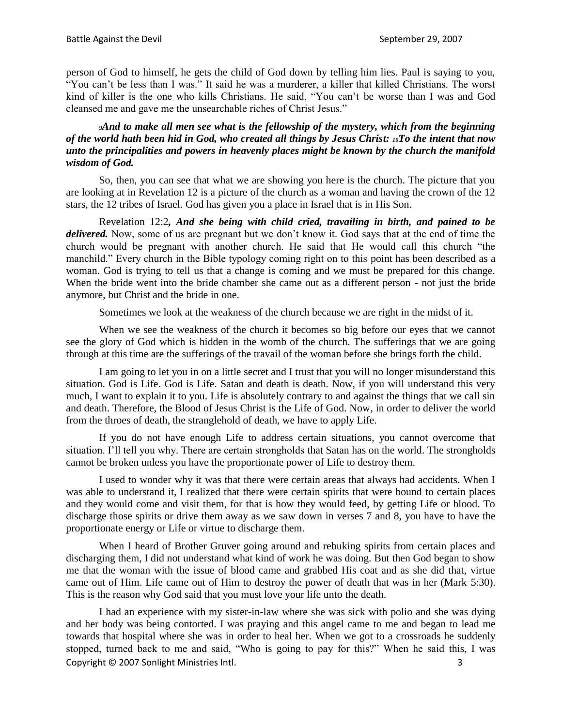person of God to himself, he gets the child of God down by telling him lies. Paul is saying to you, "You can't be less than I was." It said he was a murderer, a killer that killed Christians. The worst kind of killer is the one who kills Christians. He said, "You can't be worse than I was and God cleansed me and gave me the unsearchable riches of Christ Jesus."

## *<sup>9</sup>And to make all men see what is the fellowship of the mystery, which from the beginning of the world hath been hid in God, who created all things by Jesus Christ: 10To the intent that now unto the principalities and powers in heavenly places might be known by the church the manifold wisdom of God.*

So, then, you can see that what we are showing you here is the church. The picture that you are looking at in Revelation 12 is a picture of the church as a woman and having the crown of the 12 stars, the 12 tribes of Israel. God has given you a place in Israel that is in His Son.

Revelation 12:2*, And she being with child cried, travailing in birth, and pained to be delivered.* Now, some of us are pregnant but we don't know it. God says that at the end of time the church would be pregnant with another church. He said that He would call this church "the manchild." Every church in the Bible typology coming right on to this point has been described as a woman. God is trying to tell us that a change is coming and we must be prepared for this change. When the bride went into the bride chamber she came out as a different person - not just the bride anymore, but Christ and the bride in one.

Sometimes we look at the weakness of the church because we are right in the midst of it.

When we see the weakness of the church it becomes so big before our eyes that we cannot see the glory of God which is hidden in the womb of the church. The sufferings that we are going through at this time are the sufferings of the travail of the woman before she brings forth the child.

I am going to let you in on a little secret and I trust that you will no longer misunderstand this situation. God is Life. God is Life. Satan and death is death. Now, if you will understand this very much, I want to explain it to you. Life is absolutely contrary to and against the things that we call sin and death. Therefore, the Blood of Jesus Christ is the Life of God. Now, in order to deliver the world from the throes of death, the stranglehold of death, we have to apply Life.

If you do not have enough Life to address certain situations, you cannot overcome that situation. I'll tell you why. There are certain strongholds that Satan has on the world. The strongholds cannot be broken unless you have the proportionate power of Life to destroy them.

I used to wonder why it was that there were certain areas that always had accidents. When I was able to understand it, I realized that there were certain spirits that were bound to certain places and they would come and visit them, for that is how they would feed, by getting Life or blood. To discharge those spirits or drive them away as we saw down in verses 7 and 8, you have to have the proportionate energy or Life or virtue to discharge them.

When I heard of Brother Gruver going around and rebuking spirits from certain places and discharging them, I did not understand what kind of work he was doing. But then God began to show me that the woman with the issue of blood came and grabbed His coat and as she did that, virtue came out of Him. Life came out of Him to destroy the power of death that was in her (Mark 5:30). This is the reason why God said that you must love your life unto the death.

Copyright © 2007 Sonlight Ministries Intl. 3 I had an experience with my sister-in-law where she was sick with polio and she was dying and her body was being contorted. I was praying and this angel came to me and began to lead me towards that hospital where she was in order to heal her. When we got to a crossroads he suddenly stopped, turned back to me and said, "Who is going to pay for this?" When he said this, I was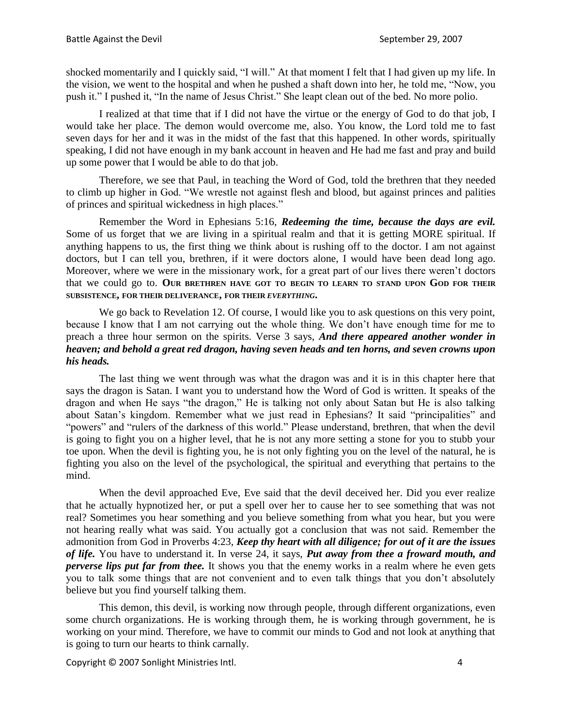shocked momentarily and I quickly said, "I will." At that moment I felt that I had given up my life. In the vision, we went to the hospital and when he pushed a shaft down into her, he told me, "Now, you push it." I pushed it, "In the name of Jesus Christ." She leapt clean out of the bed. No more polio.

I realized at that time that if I did not have the virtue or the energy of God to do that job, I would take her place. The demon would overcome me, also. You know, the Lord told me to fast seven days for her and it was in the midst of the fast that this happened. In other words, spiritually speaking, I did not have enough in my bank account in heaven and He had me fast and pray and build up some power that I would be able to do that job.

Therefore, we see that Paul, in teaching the Word of God, told the brethren that they needed to climb up higher in God. "We wrestle not against flesh and blood, but against princes and palities of princes and spiritual wickedness in high places."

Remember the Word in Ephesians 5:16, *Redeeming the time, because the days are evil.*  Some of us forget that we are living in a spiritual realm and that it is getting MORE spiritual. If anything happens to us, the first thing we think about is rushing off to the doctor. I am not against doctors, but I can tell you, brethren, if it were doctors alone, I would have been dead long ago. Moreover, where we were in the missionary work, for a great part of our lives there weren't doctors that we could go to. **OUR BRETHREN HAVE GOT TO BEGIN TO LEARN TO STAND UPON GOD FOR THEIR SUBSISTENCE, FOR THEIR DELIVERANCE, FOR THEIR** *EVERYTHING***.**

We go back to Revelation 12. Of course, I would like you to ask questions on this very point, because I know that I am not carrying out the whole thing. We don't have enough time for me to preach a three hour sermon on the spirits. Verse 3 says, *And there appeared another wonder in heaven; and behold a great red dragon, having seven heads and ten horns, and seven crowns upon his heads.*

The last thing we went through was what the dragon was and it is in this chapter here that says the dragon is Satan. I want you to understand how the Word of God is written. It speaks of the dragon and when He says "the dragon," He is talking not only about Satan but He is also talking about Satan's kingdom. Remember what we just read in Ephesians? It said "principalities" and "powers" and "rulers of the darkness of this world." Please understand, brethren, that when the devil is going to fight you on a higher level, that he is not any more setting a stone for you to stubb your toe upon. When the devil is fighting you, he is not only fighting you on the level of the natural, he is fighting you also on the level of the psychological, the spiritual and everything that pertains to the mind.

When the devil approached Eve, Eve said that the devil deceived her. Did you ever realize that he actually hypnotized her, or put a spell over her to cause her to see something that was not real? Sometimes you hear something and you believe something from what you hear, but you were not hearing really what was said. You actually got a conclusion that was not said. Remember the admonition from God in Proverbs 4:23, *Keep thy heart with all diligence; for out of it are the issues of life.* You have to understand it. In verse 24, it says, *Put away from thee a froward mouth, and perverse lips put far from thee.* It shows you that the enemy works in a realm where he even gets you to talk some things that are not convenient and to even talk things that you don't absolutely believe but you find yourself talking them.

This demon, this devil, is working now through people, through different organizations, even some church organizations. He is working through them, he is working through government, he is working on your mind. Therefore, we have to commit our minds to God and not look at anything that is going to turn our hearts to think carnally.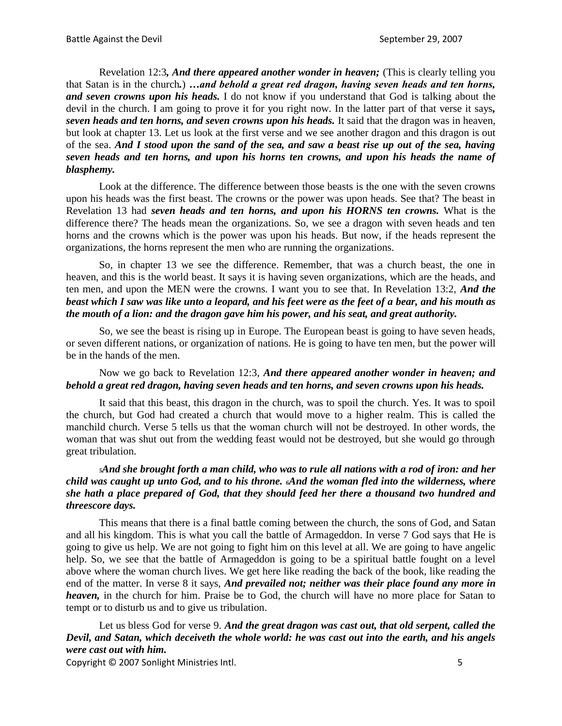Revelation 12:3*, And there appeared another wonder in heaven;* (This is clearly telling you that Satan is in the church*.*) *…and behold a great red dragon, having seven heads and ten horns, and seven crowns upon his heads.* I do not know if you understand that God is talking about the devil in the church. I am going to prove it for you right now. In the latter part of that verse it says*, seven heads and ten horns, and seven crowns upon his heads.* It said that the dragon was in heaven, but look at chapter 13. Let us look at the first verse and we see another dragon and this dragon is out of the sea. *And I stood upon the sand of the sea, and saw a beast rise up out of the sea, having seven heads and ten horns, and upon his horns ten crowns, and upon his heads the name of blasphemy.*

Look at the difference. The difference between those beasts is the one with the seven crowns upon his heads was the first beast. The crowns or the power was upon heads. See that? The beast in Revelation 13 had *seven heads and ten horns, and upon his HORNS ten crowns.* What is the difference there? The heads mean the organizations. So, we see a dragon with seven heads and ten horns and the crowns which is the power was upon his heads. But now, if the heads represent the organizations, the horns represent the men who are running the organizations.

So, in chapter 13 we see the difference. Remember, that was a church beast, the one in heaven, and this is the world beast. It says it is having seven organizations, which are the heads, and ten men, and upon the MEN were the crowns. I want you to see that. In Revelation 13:2, *And the beast which I saw was like unto a leopard, and his feet were as the feet of a bear, and his mouth as the mouth of a lion: and the dragon gave him his power, and his seat, and great authority.*

So, we see the beast is rising up in Europe. The European beast is going to have seven heads, or seven different nations, or organization of nations. He is going to have ten men, but the power will be in the hands of the men.

## Now we go back to Revelation 12:3, *And there appeared another wonder in heaven; and behold a great red dragon, having seven heads and ten horns, and seven crowns upon his heads.*

It said that this beast, this dragon in the church, was to spoil the church. Yes. It was to spoil the church, but God had created a church that would move to a higher realm. This is called the manchild church. Verse 5 tells us that the woman church will not be destroyed. In other words, the woman that was shut out from the wedding feast would not be destroyed, but she would go through great tribulation.

# *<sup>5</sup>And she brought forth a man child, who was to rule all nations with a rod of iron: and her child was caught up unto God, and to his throne. 6And the woman fled into the wilderness, where she hath a place prepared of God, that they should feed her there a thousand two hundred and threescore days.*

This means that there is a final battle coming between the church, the sons of God, and Satan and all his kingdom. This is what you call the battle of Armageddon. In verse 7 God says that He is going to give us help. We are not going to fight him on this level at all. We are going to have angelic help. So, we see that the battle of Armageddon is going to be a spiritual battle fought on a level above where the woman church lives. We get here like reading the back of the book, like reading the end of the matter. In verse 8 it says, *And prevailed not; neither was their place found any more in heaven,* in the church for him. Praise be to God, the church will have no more place for Satan to tempt or to disturb us and to give us tribulation.

Let us bless God for verse 9. *And the great dragon was cast out, that old serpent, called the Devil, and Satan, which deceiveth the whole world: he was cast out into the earth, and his angels were cast out with him.*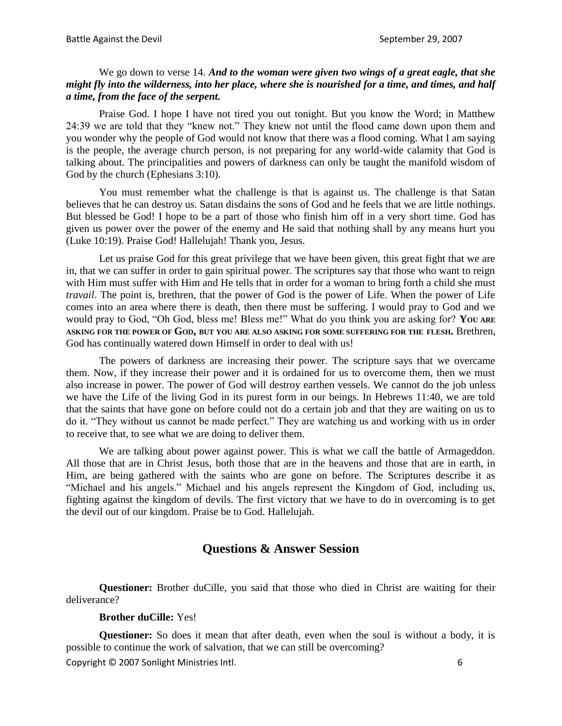#### We go down to verse 14. *And to the woman were given two wings of a great eagle, that she might fly into the wilderness, into her place, where she is nourished for a time, and times, and half a time, from the face of the serpent.*

Praise God. I hope I have not tired you out tonight. But you know the Word; in Matthew 24:39 we are told that they "knew not." They knew not until the flood came down upon them and you wonder why the people of God would not know that there was a flood coming. What I am saying is the people, the average church person, is not preparing for any world-wide calamity that God is talking about. The principalities and powers of darkness can only be taught the manifold wisdom of God by the church (Ephesians 3:10).

You must remember what the challenge is that is against us. The challenge is that Satan believes that he can destroy us. Satan disdains the sons of God and he feels that we are little nothings. But blessed be God! I hope to be a part of those who finish him off in a very short time. God has given us power over the power of the enemy and He said that nothing shall by any means hurt you (Luke 10:19). Praise God! Hallelujah! Thank you, Jesus.

Let us praise God for this great privilege that we have been given, this great fight that we are in, that we can suffer in order to gain spiritual power. The scriptures say that those who want to reign with Him must suffer with Him and He tells that in order for a woman to bring forth a child she must *travail*. The point is, brethren, that the power of God is the power of Life. When the power of Life comes into an area where there is death, then there must be suffering. I would pray to God and we would pray to God, "Oh God, bless me! Bless me!" What do you think you are asking for? **YOU ARE ASKING FOR THE POWER OF GOD, BUT YOU ARE ALSO ASKING FOR SOME SUFFERING FOR THE FLESH.** Brethren, God has continually watered down Himself in order to deal with us!

The powers of darkness are increasing their power. The scripture says that we overcame them. Now, if they increase their power and it is ordained for us to overcome them, then we must also increase in power. The power of God will destroy earthen vessels. We cannot do the job unless we have the Life of the living God in its purest form in our beings. In Hebrews 11:40, we are told that the saints that have gone on before could not do a certain job and that they are waiting on us to do it. "They without us cannot be made perfect." They are watching us and working with us in order to receive that, to see what we are doing to deliver them.

We are talking about power against power. This is what we call the battle of Armageddon. All those that are in Christ Jesus, both those that are in the heavens and those that are in earth, in Him, are being gathered with the saints who are gone on before. The Scriptures describe it as "Michael and his angels." Michael and his angels represent the Kingdom of God, including us, fighting against the kingdom of devils. The first victory that we have to do in overcoming is to get the devil out of our kingdom. Praise be to God. Hallelujah.

# **Questions & Answer Session**

**Questioner:** Brother duCille, you said that those who died in Christ are waiting for their deliverance?

#### **Brother duCille:** Yes!

Copyright © 2007 Sonlight Ministries Intl. 6 **Questioner:** So does it mean that after death, even when the soul is without a body, it is possible to continue the work of salvation, that we can still be overcoming?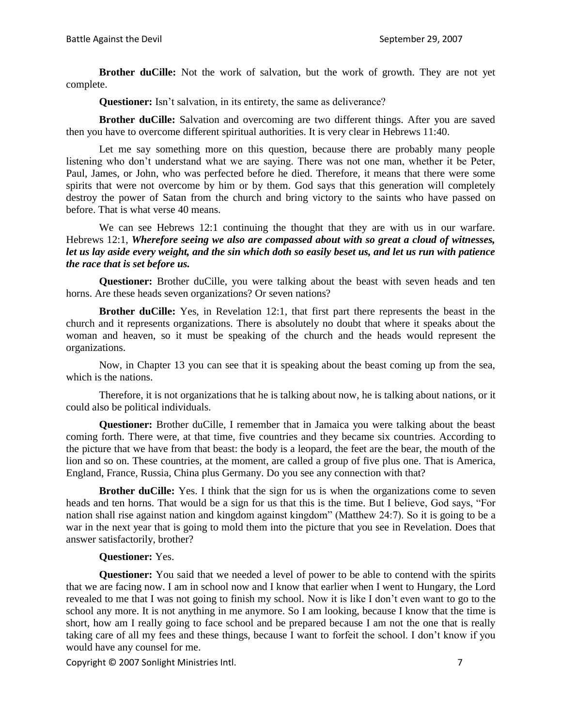**Brother duCille:** Not the work of salvation, but the work of growth. They are not yet complete.

**Questioner:** Isn't salvation, in its entirety, the same as deliverance?

**Brother duCille:** Salvation and overcoming are two different things. After you are saved then you have to overcome different spiritual authorities. It is very clear in Hebrews 11:40.

Let me say something more on this question, because there are probably many people listening who don't understand what we are saying. There was not one man, whether it be Peter, Paul, James, or John, who was perfected before he died. Therefore, it means that there were some spirits that were not overcome by him or by them. God says that this generation will completely destroy the power of Satan from the church and bring victory to the saints who have passed on before. That is what verse 40 means.

We can see Hebrews 12:1 continuing the thought that they are with us in our warfare. Hebrews 12:1, *Wherefore seeing we also are compassed about with so great a cloud of witnesses, let us lay aside every weight, and the sin which doth so easily beset us, and let us run with patience the race that is set before us.*

**Questioner:** Brother duCille, you were talking about the beast with seven heads and ten horns. Are these heads seven organizations? Or seven nations?

**Brother duCille:** Yes, in Revelation 12:1, that first part there represents the beast in the church and it represents organizations. There is absolutely no doubt that where it speaks about the woman and heaven, so it must be speaking of the church and the heads would represent the organizations.

Now, in Chapter 13 you can see that it is speaking about the beast coming up from the sea, which is the nations.

Therefore, it is not organizations that he is talking about now, he is talking about nations, or it could also be political individuals.

**Questioner:** Brother duCille, I remember that in Jamaica you were talking about the beast coming forth. There were, at that time, five countries and they became six countries. According to the picture that we have from that beast: the body is a leopard, the feet are the bear, the mouth of the lion and so on. These countries, at the moment, are called a group of five plus one. That is America, England, France, Russia, China plus Germany. Do you see any connection with that?

**Brother duCille:** Yes. I think that the sign for us is when the organizations come to seven heads and ten horns. That would be a sign for us that this is the time. But I believe, God says, "For nation shall rise against nation and kingdom against kingdom" (Matthew 24:7). So it is going to be a war in the next year that is going to mold them into the picture that you see in Revelation. Does that answer satisfactorily, brother?

#### **Questioner:** Yes.

**Questioner:** You said that we needed a level of power to be able to contend with the spirits that we are facing now. I am in school now and I know that earlier when I went to Hungary, the Lord revealed to me that I was not going to finish my school. Now it is like I don't even want to go to the school any more. It is not anything in me anymore. So I am looking, because I know that the time is short, how am I really going to face school and be prepared because I am not the one that is really taking care of all my fees and these things, because I want to forfeit the school. I don't know if you would have any counsel for me.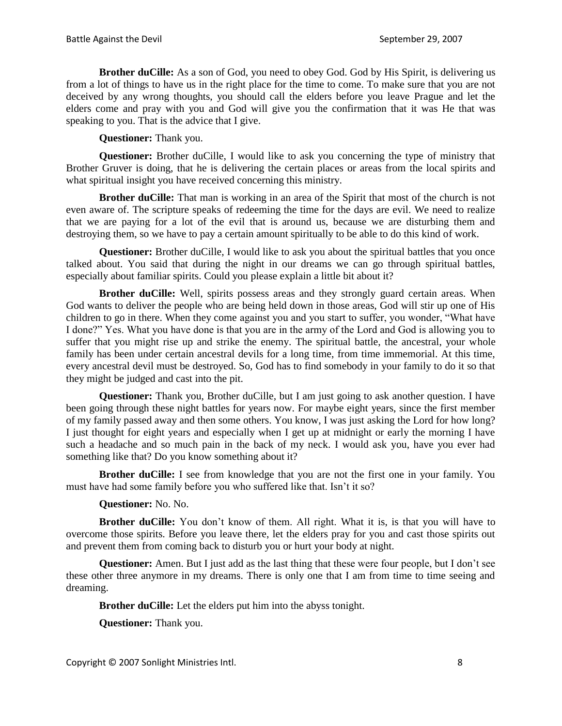**Brother duCille:** As a son of God, you need to obey God. God by His Spirit, is delivering us from a lot of things to have us in the right place for the time to come. To make sure that you are not deceived by any wrong thoughts, you should call the elders before you leave Prague and let the elders come and pray with you and God will give you the confirmation that it was He that was speaking to you. That is the advice that I give.

**Questioner:** Thank you.

**Questioner:** Brother duCille, I would like to ask you concerning the type of ministry that Brother Gruver is doing, that he is delivering the certain places or areas from the local spirits and what spiritual insight you have received concerning this ministry.

**Brother duCille:** That man is working in an area of the Spirit that most of the church is not even aware of. The scripture speaks of redeeming the time for the days are evil. We need to realize that we are paying for a lot of the evil that is around us, because we are disturbing them and destroying them, so we have to pay a certain amount spiritually to be able to do this kind of work.

Questioner: Brother duCille, I would like to ask you about the spiritual battles that you once talked about. You said that during the night in our dreams we can go through spiritual battles, especially about familiar spirits. Could you please explain a little bit about it?

**Brother duCille:** Well, spirits possess areas and they strongly guard certain areas. When God wants to deliver the people who are being held down in those areas, God will stir up one of His children to go in there. When they come against you and you start to suffer, you wonder, "What have I done?" Yes. What you have done is that you are in the army of the Lord and God is allowing you to suffer that you might rise up and strike the enemy. The spiritual battle, the ancestral, your whole family has been under certain ancestral devils for a long time, from time immemorial. At this time, every ancestral devil must be destroyed. So, God has to find somebody in your family to do it so that they might be judged and cast into the pit.

**Questioner:** Thank you, Brother duCille, but I am just going to ask another question. I have been going through these night battles for years now. For maybe eight years, since the first member of my family passed away and then some others. You know, I was just asking the Lord for how long? I just thought for eight years and especially when I get up at midnight or early the morning I have such a headache and so much pain in the back of my neck. I would ask you, have you ever had something like that? Do you know something about it?

**Brother duCille:** I see from knowledge that you are not the first one in your family. You must have had some family before you who suffered like that. Isn't it so?

**Questioner:** No. No.

**Brother duCille:** You don't know of them. All right. What it is, is that you will have to overcome those spirits. Before you leave there, let the elders pray for you and cast those spirits out and prevent them from coming back to disturb you or hurt your body at night.

**Questioner:** Amen. But I just add as the last thing that these were four people, but I don't see these other three anymore in my dreams. There is only one that I am from time to time seeing and dreaming.

**Brother duCille:** Let the elders put him into the abyss tonight.

**Questioner:** Thank you.